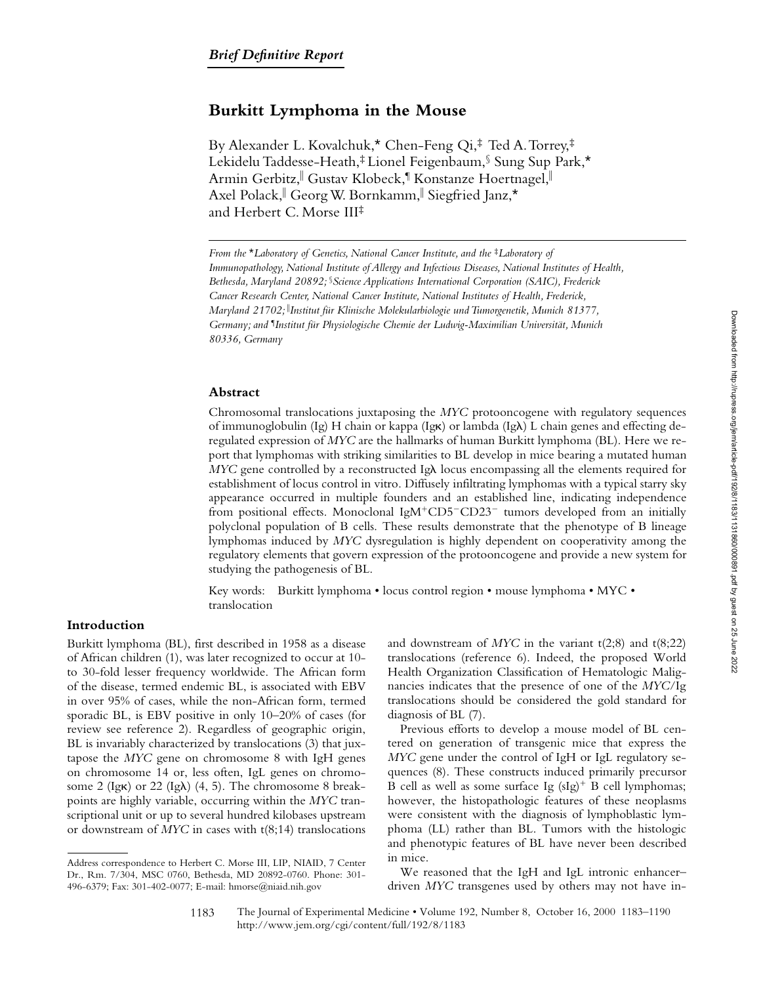# **Burkitt Lymphoma in the Mouse**

By Alexander L. Kovalchuk,\* Chen-Feng Qi,‡ Ted A. Torrey,‡ Lekidelu Taddesse-Heath,‡ Lionel Feigenbaum,§ Sung Sup Park,\* Armin Gerbitz,『 Gustav Klobeck,『Konstanze Hoertnagel,『 Axel Polack, Georg W. Bornkamm, Siegfried Janz,\* and Herbert C. Morse III‡

## **Abstract**

Chromosomal translocations juxtaposing the *MYC* protooncogene with regulatory sequences of immunoglobulin (Ig) H chain or kappa (Ig $\kappa$ ) or lambda (Ig $\lambda$ ) L chain genes and effecting deregulated expression of *MYC* are the hallmarks of human Burkitt lymphoma (BL). Here we report that lymphomas with striking similarities to BL develop in mice bearing a mutated human *MYC* gene controlled by a reconstructed Ig $\lambda$  locus encompassing all the elements required for establishment of locus control in vitro. Diffusely infiltrating lymphomas with a typical starry sky appearance occurred in multiple founders and an established line, indicating independence from positional effects. Monoclonal IgM<sup>+</sup>CD5<sup>-</sup>CD23<sup>-</sup> tumors developed from an initially polyclonal population of B cells. These results demonstrate that the phenotype of B lineage lymphomas induced by *MYC* dysregulation is highly dependent on cooperativity among the regulatory elements that govern expression of the protooncogene and provide a new system for studying the pathogenesis of BL.

Key words: Burkitt lymphoma • locus control region • mouse lymphoma • MYC • translocation

# **Introduction**

Burkitt lymphoma (BL), first described in 1958 as a disease of African children (1), was later recognized to occur at 10 to 30-fold lesser frequency worldwide. The African form of the disease, termed endemic BL, is associated with EBV in over 95% of cases, while the non-African form, termed sporadic BL, is EBV positive in only 10–20% of cases (for review see reference 2). Regardless of geographic origin, BL is invariably characterized by translocations (3) that juxtapose the *MYC* gene on chromosome 8 with IgH genes on chromosome 14 or, less often, IgL genes on chromosome 2 (Ig $\kappa$ ) or 22 (Ig $\lambda$ ) (4, 5). The chromosome 8 breakpoints are highly variable, occurring within the *MYC* transcriptional unit or up to several hundred kilobases upstream or downstream of *MYC* in cases with t(8;14) translocations

and downstream of *MYC* in the variant t(2;8) and t(8;22) translocations (reference 6). Indeed, the proposed World Health Organization Classification of Hematologic Malignancies indicates that the presence of one of the *MYC*/Ig translocations should be considered the gold standard for diagnosis of BL (7).

Previous efforts to develop a mouse model of BL centered on generation of transgenic mice that express the *MYC* gene under the control of IgH or IgL regulatory sequences (8). These constructs induced primarily precursor B cell as well as some surface Ig  $(sIg)^+$  B cell lymphomas; however, the histopathologic features of these neoplasms were consistent with the diagnosis of lymphoblastic lymphoma (LL) rather than BL. Tumors with the histologic and phenotypic features of BL have never been described in mice.

We reasoned that the IgH and IgL intronic enhancer– driven *MYC* transgenes used by others may not have in-

The Journal of Experimental Medicine • Volume 192, Number 8, October 16, 2000 1183–1190 http://www.jem.org/cgi/content/full/192/8/1183

*From the \*Laboratory of Genetics, National Cancer Institute, and the <sup>‡</sup>Laboratory of Immunopathology, National Institute of Allergy and Infectious Diseases, National Institutes of Health, Bethesda, Maryland 20892;* §*Science Applications International Corporation (SAIC), Frederick Cancer Research Center, National Cancer Institute, National Institutes of Health, Frederick, Maryland 21702;* <sup>i</sup> *Institut für Klinische Molekularbiologie und Tumorgenetik, Munich 81377, Germany; and* ¶ *Institut für Physiologische Chemie der Ludwig-Maximilian Universität, Munich 80336, Germany*

Address correspondence to Herbert C. Morse III, LIP, NIAID, 7 Center Dr., Rm. 7/304, MSC 0760, Bethesda, MD 20892-0760. Phone: 301- 496-6379; Fax: 301-402-0077; E-mail: hmorse@niaid.nih.gov

<sup>1183</sup>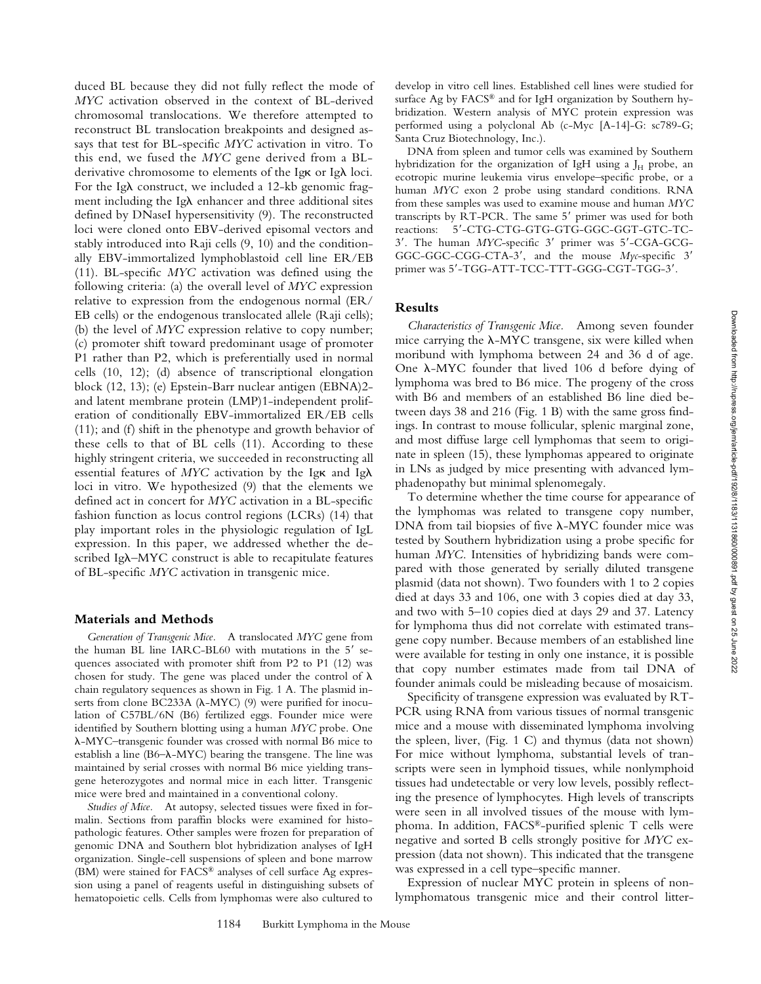duced BL because they did not fully reflect the mode of *MYC* activation observed in the context of BL-derived chromosomal translocations. We therefore attempted to reconstruct BL translocation breakpoints and designed assays that test for BL-specific *MYC* activation in vitro. To this end, we fused the *MYC* gene derived from a BLderivative chromosome to elements of the Ig $\kappa$  or Ig $\lambda$  loci. For the Ig $\lambda$  construct, we included a 12-kb genomic fragment including the Ig $\lambda$  enhancer and three additional sites defined by DNaseI hypersensitivity (9). The reconstructed loci were cloned onto EBV-derived episomal vectors and stably introduced into Raji cells (9, 10) and the conditionally EBV-immortalized lymphoblastoid cell line ER/EB (11). BL-specific *MYC* activation was defined using the following criteria: (a) the overall level of *MYC* expression relative to expression from the endogenous normal (ER/ EB cells) or the endogenous translocated allele (Raji cells); (b) the level of *MYC* expression relative to copy number; (c) promoter shift toward predominant usage of promoter P1 rather than P2, which is preferentially used in normal cells (10, 12); (d) absence of transcriptional elongation block (12, 13); (e) Epstein-Barr nuclear antigen (EBNA)2 and latent membrane protein (LMP)1-independent proliferation of conditionally EBV-immortalized ER/EB cells (11); and (f) shift in the phenotype and growth behavior of these cells to that of BL cells (11). According to these highly stringent criteria, we succeeded in reconstructing all essential features of  $MYC$  activation by the Ig $\kappa$  and Ig $\lambda$ loci in vitro. We hypothesized (9) that the elements we defined act in concert for *MYC* activation in a BL-specific fashion function as locus control regions (LCRs) (14) that play important roles in the physiologic regulation of IgL expression. In this paper, we addressed whether the described Ig $\lambda$ -MYC construct is able to recapitulate features of BL-specific *MYC* activation in transgenic mice.

#### **Materials and Methods**

*Generation of Transgenic Mice.* A translocated *MYC* gene from the human BL line IARC-BL60 with mutations in the  $5'$  sequences associated with promoter shift from P2 to P1 (12) was chosen for study. The gene was placed under the control of  $\lambda$ chain regulatory sequences as shown in Fig. 1 A. The plasmid inserts from clone BC233A ( $\lambda$ -MYC) (9) were purified for inoculation of C57BL/6N (B6) fertilized eggs. Founder mice were identified by Southern blotting using a human *MYC* probe. One l-MYC–transgenic founder was crossed with normal B6 mice to establish a line (B6- $\lambda$ -MYC) bearing the transgene. The line was maintained by serial crosses with normal B6 mice yielding transgene heterozygotes and normal mice in each litter. Transgenic mice were bred and maintained in a conventional colony.

*Studies of Mice.* At autopsy, selected tissues were fixed in formalin. Sections from paraffin blocks were examined for histopathologic features. Other samples were frozen for preparation of genomic DNA and Southern blot hybridization analyses of IgH organization. Single-cell suspensions of spleen and bone marrow (BM) were stained for FACS® analyses of cell surface Ag expression using a panel of reagents useful in distinguishing subsets of hematopoietic cells. Cells from lymphomas were also cultured to

develop in vitro cell lines. Established cell lines were studied for surface Ag by FACS® and for IgH organization by Southern hybridization. Western analysis of MYC protein expression was performed using a polyclonal Ab (c-Myc [A-14]-G: sc789-G; Santa Cruz Biotechnology, Inc.).

DNA from spleen and tumor cells was examined by Southern hybridization for the organization of IgH using a  $J_H$  probe, an ecotropic murine leukemia virus envelope–specific probe, or a human *MYC* exon 2 probe using standard conditions. RNA from these samples was used to examine mouse and human *MYC* transcripts by RT-PCR. The same 5' primer was used for both reactions: 5'-CTG-CTG-GTG-GTG-GGC-GGT-GTC-TC-3'. The human MYC-specific 3' primer was 5'-CGA-GCG-GGC-GGC-CGG-CTA-3', and the mouse Myc-specific 3' primer was 5'-TGG-ATT-TCC-TTT-GGG-CGT-TGG-3'.

## **Results**

*Characteristics of Transgenic Mice.* Among seven founder mice carrying the  $\lambda$ -MYC transgene, six were killed when moribund with lymphoma between 24 and 36 d of age. One  $\lambda$ -MYC founder that lived 106 d before dying of lymphoma was bred to B6 mice. The progeny of the cross with B6 and members of an established B6 line died between days 38 and 216 (Fig. 1 B) with the same gross findings. In contrast to mouse follicular, splenic marginal zone, and most diffuse large cell lymphomas that seem to originate in spleen (15), these lymphomas appeared to originate in LNs as judged by mice presenting with advanced lymphadenopathy but minimal splenomegaly.

To determine whether the time course for appearance of the lymphomas was related to transgene copy number, DNA from tail biopsies of five  $\lambda$ -MYC founder mice was tested by Southern hybridization using a probe specific for human *MYC*. Intensities of hybridizing bands were compared with those generated by serially diluted transgene plasmid (data not shown). Two founders with 1 to 2 copies died at days 33 and 106, one with 3 copies died at day 33, and two with 5–10 copies died at days 29 and 37. Latency for lymphoma thus did not correlate with estimated transgene copy number. Because members of an established line were available for testing in only one instance, it is possible that copy number estimates made from tail DNA of founder animals could be misleading because of mosaicism.

Specificity of transgene expression was evaluated by RT-PCR using RNA from various tissues of normal transgenic mice and a mouse with disseminated lymphoma involving the spleen, liver, (Fig. 1 C) and thymus (data not shown) For mice without lymphoma, substantial levels of transcripts were seen in lymphoid tissues, while nonlymphoid tissues had undetectable or very low levels, possibly reflecting the presence of lymphocytes. High levels of transcripts were seen in all involved tissues of the mouse with lymphoma. In addition, FACS®-purified splenic T cells were negative and sorted B cells strongly positive for *MYC* expression (data not shown). This indicated that the transgene was expressed in a cell type–specific manner.

Expression of nuclear MYC protein in spleens of nonlymphomatous transgenic mice and their control litter-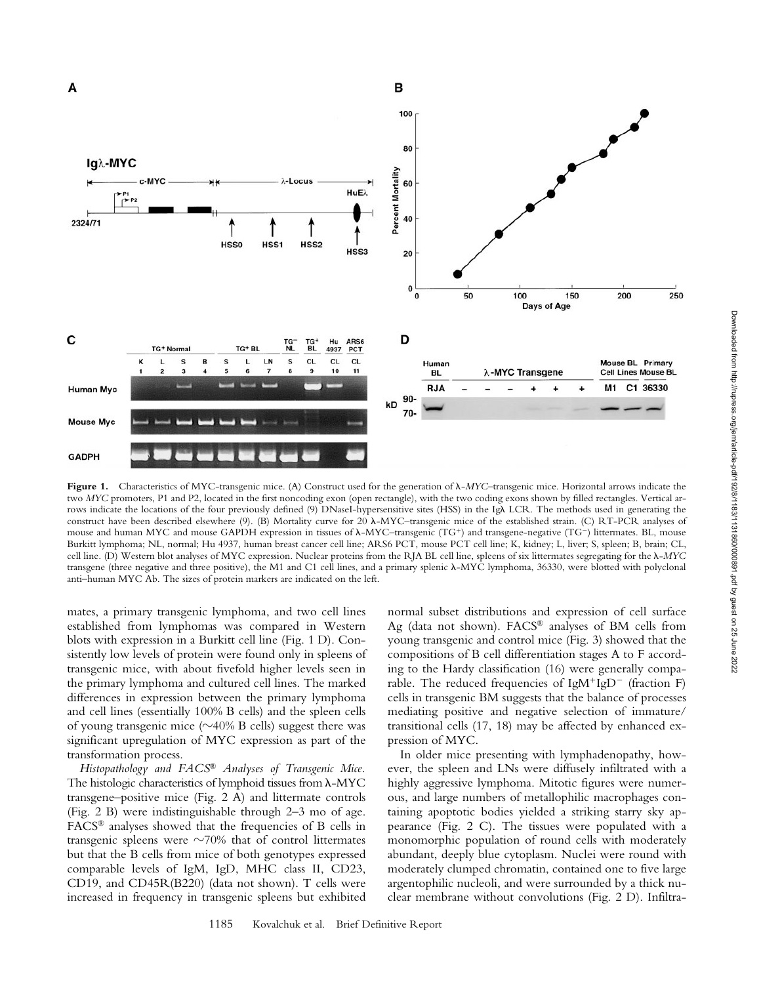

**Figure 1.** Characteristics of MYC-transgenic mice. (A) Construct used for the generation of l-*MYC*–transgenic mice. Horizontal arrows indicate the two *MYC* promoters, P1 and P2, located in the first noncoding exon (open rectangle), with the two coding exons shown by filled rectangles. Vertical arrows indicate the locations of the four previously defined (9) DNaseI-hypersensitive sites (HSS) in the IgA LCR. The methods used in generating the construct have been described elsewhere (9). (B) Mortality curve for 20  $\lambda$ -MYC–transgenic mice of the established strain. (C) RT-PCR analyses of mouse and human MYC and mouse GAPDH expression in tissues of  $\lambda$ -MYC-transgenic (TG<sup>+</sup>) and transgene-negative (TG<sup>-</sup>) littermates. BL, mouse Burkitt lymphoma; NL, normal; Hu 4937, human breast cancer cell line; ARS6 PCT, mouse PCT cell line; K, kidney; L, liver; S, spleen; B, brain; CL, cell line. (D) Western blot analyses of MYC expression. Nuclear proteins from the RJA BL cell line, spleens of six littermates segregating for the l-*MYC* transgene (three negative and three positive), the M1 and C1 cell lines, and a primary splenic l-MYC lymphoma, 36330, were blotted with polyclonal anti–human MYC Ab. The sizes of protein markers are indicated on the left.

mates, a primary transgenic lymphoma, and two cell lines established from lymphomas was compared in Western blots with expression in a Burkitt cell line (Fig. 1 D). Consistently low levels of protein were found only in spleens of transgenic mice, with about fivefold higher levels seen in the primary lymphoma and cultured cell lines. The marked differences in expression between the primary lymphoma and cell lines (essentially 100% B cells) and the spleen cells of young transgenic mice  $(\sim 40\%$  B cells) suggest there was significant upregulation of MYC expression as part of the transformation process.

*Histopathology and FACS® Analyses of Transgenic Mice.* The histologic characteristics of lymphoid tissues from  $\lambda$ -MYC transgene–positive mice (Fig. 2 A) and littermate controls (Fig. 2 B) were indistinguishable through 2–3 mo of age. FACS® analyses showed that the frequencies of B cells in transgenic spleens were  $\sim$ 70% that of control littermates but that the B cells from mice of both genotypes expressed comparable levels of IgM, IgD, MHC class II, CD23, CD19, and CD45R(B220) (data not shown). T cells were increased in frequency in transgenic spleens but exhibited

normal subset distributions and expression of cell surface Ag (data not shown).  $FACS^{\circledR}$  analyses of BM cells from young transgenic and control mice (Fig. 3) showed that the compositions of B cell differentiation stages A to F according to the Hardy classification (16) were generally comparable. The reduced frequencies of IgM<sup>+</sup>IgD<sup>-</sup> (fraction F) cells in transgenic BM suggests that the balance of processes mediating positive and negative selection of immature/ transitional cells (17, 18) may be affected by enhanced expression of MYC.

In older mice presenting with lymphadenopathy, however, the spleen and LNs were diffusely infiltrated with a highly aggressive lymphoma. Mitotic figures were numerous, and large numbers of metallophilic macrophages containing apoptotic bodies yielded a striking starry sky appearance (Fig. 2 C). The tissues were populated with a monomorphic population of round cells with moderately abundant, deeply blue cytoplasm. Nuclei were round with moderately clumped chromatin, contained one to five large argentophilic nucleoli, and were surrounded by a thick nuclear membrane without convolutions (Fig. 2 D). Infiltra-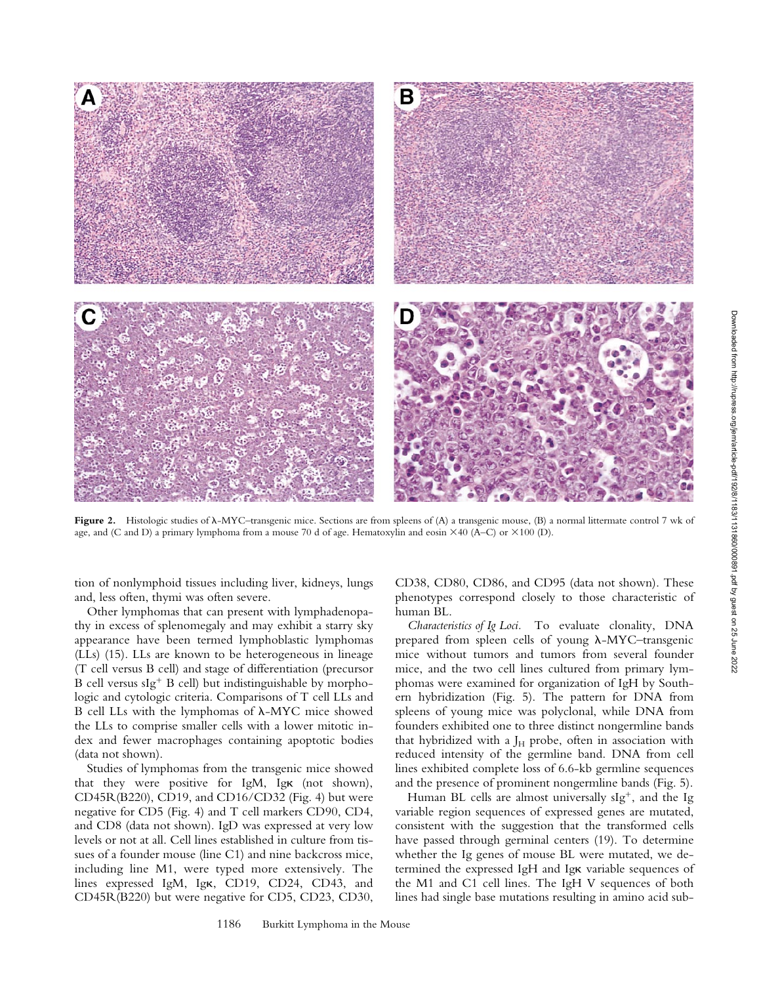

Figure 2. Histologic studies of  $\lambda$ -MYC–transgenic mice. Sections are from spleens of (A) a transgenic mouse, (B) a normal littermate control 7 wk of age, and (C and D) a primary lymphoma from a mouse 70 d of age. Hematoxylin and eosin  $\times$ 40 (A–C) or  $\times$ 100 (D).

tion of nonlymphoid tissues including liver, kidneys, lungs and, less often, thymi was often severe.

Other lymphomas that can present with lymphadenopathy in excess of splenomegaly and may exhibit a starry sky appearance have been termed lymphoblastic lymphomas (LLs) (15). LLs are known to be heterogeneous in lineage (T cell versus B cell) and stage of differentiation (precursor B cell versus sIg<sup>+</sup> B cell) but indistinguishable by morphologic and cytologic criteria. Comparisons of T cell LLs and B cell LLs with the lymphomas of  $\lambda$ -MYC mice showed the LLs to comprise smaller cells with a lower mitotic index and fewer macrophages containing apoptotic bodies (data not shown).

Studies of lymphomas from the transgenic mice showed that they were positive for IgM, Igk (not shown), CD45R(B220), CD19, and CD16/CD32 (Fig. 4) but were negative for CD5 (Fig. 4) and T cell markers CD90, CD4, and CD8 (data not shown). IgD was expressed at very low levels or not at all. Cell lines established in culture from tissues of a founder mouse (line C1) and nine backcross mice, including line M1, were typed more extensively. The lines expressed IgM, Igk, CD19, CD24, CD43, and CD45R(B220) but were negative for CD5, CD23, CD30,

CD38, CD80, CD86, and CD95 (data not shown). These phenotypes correspond closely to those characteristic of human BL.

*Characteristics of Ig Loci.* To evaluate clonality, DNA prepared from spleen cells of young  $\lambda$ -MYC–transgenic mice without tumors and tumors from several founder mice, and the two cell lines cultured from primary lymphomas were examined for organization of IgH by Southern hybridization (Fig. 5). The pattern for DNA from spleens of young mice was polyclonal, while DNA from founders exhibited one to three distinct nongermline bands that hybridized with a  $J_H$  probe, often in association with reduced intensity of the germline band. DNA from cell lines exhibited complete loss of 6.6-kb germline sequences and the presence of prominent nongermline bands (Fig. 5).

Human BL cells are almost universally  $slg^+$ , and the Ig variable region sequences of expressed genes are mutated, consistent with the suggestion that the transformed cells have passed through germinal centers (19). To determine whether the Ig genes of mouse BL were mutated, we determined the expressed IgH and Igk variable sequences of the M1 and C1 cell lines. The IgH V sequences of both lines had single base mutations resulting in amino acid sub-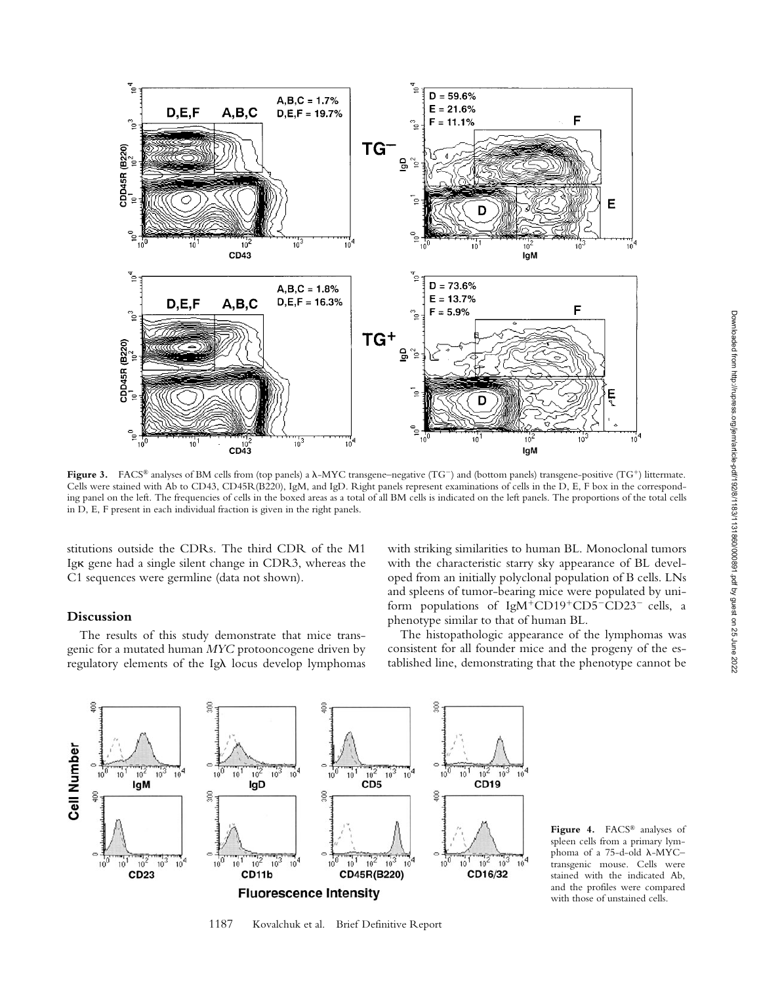

**Figure 3.** FACS® analyses of BM cells from (top panels) a  $\lambda$ -MYC transgene–negative (TG<sup>-</sup>) and (bottom panels) transgene–positive (TG<sup>+</sup>) littermate. Cells were stained with Ab to CD43, CD45R(B220), IgM, and IgD. Right panels represent examinations of cells in the D, E, F box in the corresponding panel on the left. The frequencies of cells in the boxed areas as a total of all BM cells is indicated on the left panels. The proportions of the total cells in D, E, F present in each individual fraction is given in the right panels.

stitutions outside the CDRs. The third CDR of the M1 Igk gene had a single silent change in CDR3, whereas the C1 sequences were germline (data not shown).

# **Discussion**

The results of this study demonstrate that mice transgenic for a mutated human *MYC* protooncogene driven by regulatory elements of the Ig $\lambda$  locus develop lymphomas

with striking similarities to human BL. Monoclonal tumors with the characteristic starry sky appearance of BL developed from an initially polyclonal population of B cells. LNs and spleens of tumor-bearing mice were populated by uniform populations of  $IgM+CD19+CD5-CD23$  cells, a phenotype similar to that of human BL.

The histopathologic appearance of the lymphomas was consistent for all founder mice and the progeny of the established line, demonstrating that the phenotype cannot be



1187 Kovalchuk et al. Brief Definitive Report

**Figure 4.** FACS® analyses of spleen cells from a primary lymphoma of a 75-d-old  $\lambda$ -MYCtransgenic mouse. Cells were stained with the indicated Ab, and the profiles were compared with those of unstained cells.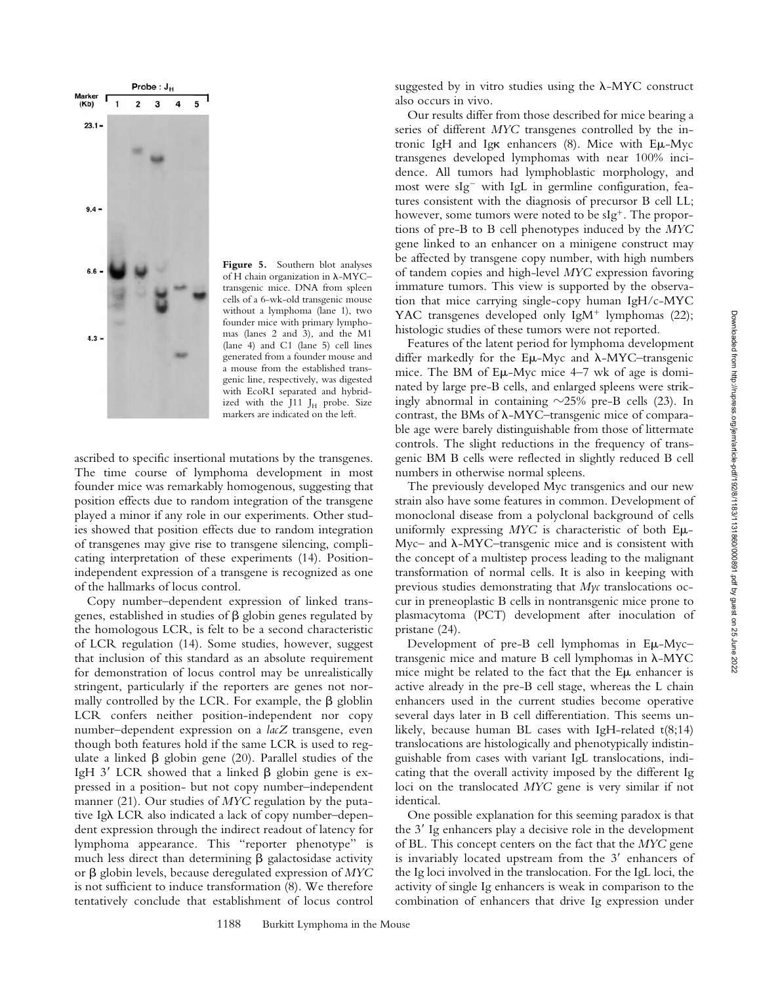

**Figure 5.** Southern blot analyses of H chain organization in  $\lambda$ -MYC– transgenic mice. DNA from spleen cells of a 6-wk-old transgenic mouse without a lymphoma (lane 1), two founder mice with primary lymphomas (lanes 2 and 3), and the M1 (lane 4) and C1 (lane 5) cell lines generated from a founder mouse and a mouse from the established transgenic line, respectively, was digested with EcoRI separated and hybridized with the J11 JH probe. Size markers are indicated on the left.

ascribed to specific insertional mutations by the transgenes. The time course of lymphoma development in most founder mice was remarkably homogenous, suggesting that position effects due to random integration of the transgene played a minor if any role in our experiments. Other studies showed that position effects due to random integration of transgenes may give rise to transgene silencing, complicating interpretation of these experiments (14). Positionindependent expression of a transgene is recognized as one of the hallmarks of locus control.

Copy number–dependent expression of linked transgenes, established in studies of  $\beta$  globin genes regulated by the homologous LCR, is felt to be a second characteristic of LCR regulation (14). Some studies, however, suggest that inclusion of this standard as an absolute requirement for demonstration of locus control may be unrealistically stringent, particularly if the reporters are genes not normally controlled by the LCR. For example, the  $\beta$  globlin LCR confers neither position-independent nor copy number–dependent expression on a *lacZ* transgene, even though both features hold if the same LCR is used to regulate a linked  $\beta$  globin gene (20). Parallel studies of the IgH 3' LCR showed that a linked  $\beta$  globin gene is expressed in a position- but not copy number–independent manner (21). Our studies of *MYC* regulation by the putative Igλ LCR also indicated a lack of copy number–dependent expression through the indirect readout of latency for lymphoma appearance. This "reporter phenotype" is much less direct than determining  $\beta$  galactosidase activity or b globin levels, because deregulated expression of *MYC* is not sufficient to induce transformation (8). We therefore tentatively conclude that establishment of locus control

suggested by in vitro studies using the  $\lambda$ -MYC construct also occurs in vivo.

Our results differ from those described for mice bearing a series of different *MYC* transgenes controlled by the intronic IgH and Ig $\kappa$  enhancers (8). Mice with  $E\mu$ -Myc transgenes developed lymphomas with near 100% incidence. All tumors had lymphoblastic morphology, and most were  $slg^-$  with IgL in germline configuration, features consistent with the diagnosis of precursor B cell LL; however, some tumors were noted to be  $slg<sup>+</sup>$ . The proportions of pre-B to B cell phenotypes induced by the *MYC* gene linked to an enhancer on a minigene construct may be affected by transgene copy number, with high numbers of tandem copies and high-level *MYC* expression favoring immature tumors. This view is supported by the observation that mice carrying single-copy human IgH/c-MYC YAC transgenes developed only IgM<sup>+</sup> lymphomas  $(22)$ ; histologic studies of these tumors were not reported.

Features of the latent period for lymphoma development differ markedly for the  $E\mu$ -Myc and  $\lambda$ -MYC–transgenic mice. The BM of  $E\mu$ -Myc mice 4–7 wk of age is dominated by large pre-B cells, and enlarged spleens were strikingly abnormal in containing  $\sim$ 25% pre-B cells (23). In contrast, the BMs of  $\lambda$ -MYC–transgenic mice of comparable age were barely distinguishable from those of littermate controls. The slight reductions in the frequency of transgenic BM B cells were reflected in slightly reduced B cell numbers in otherwise normal spleens.

The previously developed Myc transgenics and our new strain also have some features in common. Development of monoclonal disease from a polyclonal background of cells uniformly expressing *MYC* is characteristic of both Em- $Myc-$  and  $\lambda$ -MYC–transgenic mice and is consistent with the concept of a multistep process leading to the malignant transformation of normal cells. It is also in keeping with previous studies demonstrating that *Myc* translocations occur in preneoplastic B cells in nontransgenic mice prone to plasmacytoma (PCT) development after inoculation of pristane (24).

Development of pre-B cell lymphomas in Eµ-Myctransgenic mice and mature B cell lymphomas in  $\lambda$ -MYC mice might be related to the fact that the E<sub>M</sub> enhancer is active already in the pre-B cell stage, whereas the L chain enhancers used in the current studies become operative several days later in B cell differentiation. This seems unlikely, because human BL cases with IgH-related t(8;14) translocations are histologically and phenotypically indistinguishable from cases with variant IgL translocations, indicating that the overall activity imposed by the different Ig loci on the translocated *MYC* gene is very similar if not identical.

One possible explanation for this seeming paradox is that the  $3'$  Ig enhancers play a decisive role in the development of BL. This concept centers on the fact that the *MYC* gene is invariably located upstream from the  $3'$  enhancers of the Ig loci involved in the translocation. For the IgL loci, the activity of single Ig enhancers is weak in comparison to the combination of enhancers that drive Ig expression under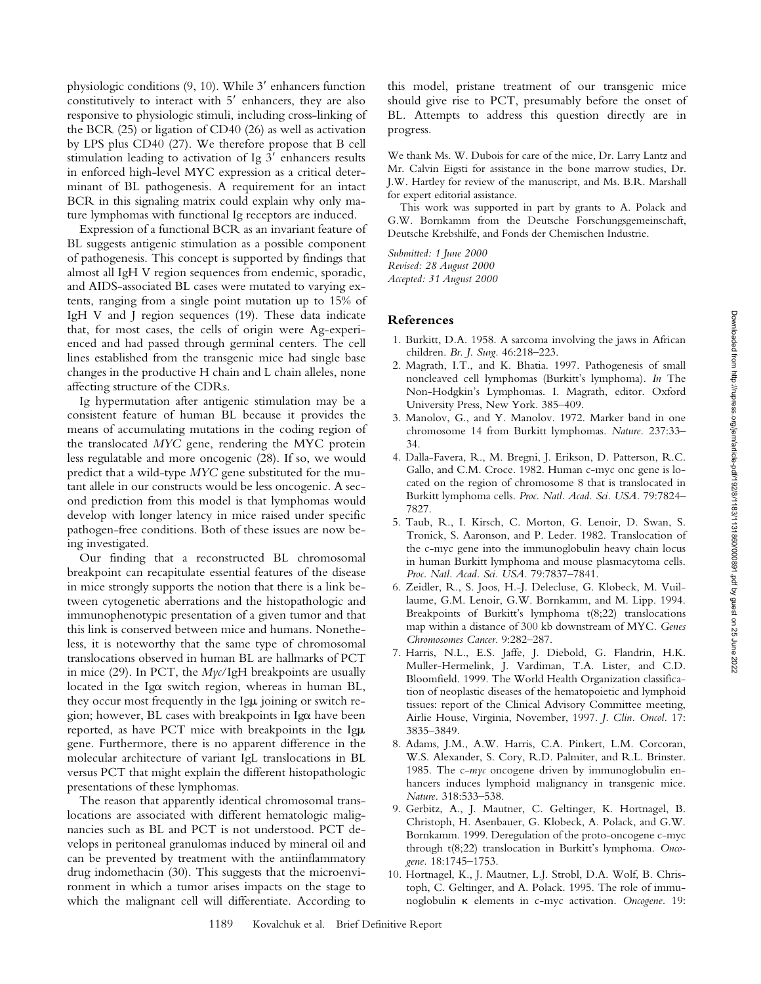physiologic conditions  $(9, 10)$ . While  $3'$  enhancers function constitutively to interact with  $5'$  enhancers, they are also responsive to physiologic stimuli, including cross-linking of the BCR (25) or ligation of CD40 (26) as well as activation by LPS plus CD40 (27). We therefore propose that B cell stimulation leading to activation of Ig  $3'$  enhancers results in enforced high-level MYC expression as a critical determinant of BL pathogenesis. A requirement for an intact BCR in this signaling matrix could explain why only mature lymphomas with functional Ig receptors are induced.

Expression of a functional BCR as an invariant feature of BL suggests antigenic stimulation as a possible component of pathogenesis. This concept is supported by findings that almost all IgH V region sequences from endemic, sporadic, and AIDS-associated BL cases were mutated to varying extents, ranging from a single point mutation up to 15% of IgH V and J region sequences (19). These data indicate that, for most cases, the cells of origin were Ag-experienced and had passed through germinal centers. The cell lines established from the transgenic mice had single base changes in the productive H chain and L chain alleles, none affecting structure of the CDRs.

Ig hypermutation after antigenic stimulation may be a consistent feature of human BL because it provides the means of accumulating mutations in the coding region of the translocated *MYC* gene, rendering the MYC protein less regulatable and more oncogenic (28). If so, we would predict that a wild-type *MYC* gene substituted for the mutant allele in our constructs would be less oncogenic. A second prediction from this model is that lymphomas would develop with longer latency in mice raised under specific pathogen-free conditions. Both of these issues are now being investigated.

Our finding that a reconstructed BL chromosomal breakpoint can recapitulate essential features of the disease in mice strongly supports the notion that there is a link between cytogenetic aberrations and the histopathologic and immunophenotypic presentation of a given tumor and that this link is conserved between mice and humans. Nonetheless, it is noteworthy that the same type of chromosomal translocations observed in human BL are hallmarks of PCT in mice (29). In PCT, the *Myc*/IgH breakpoints are usually located in the Ig $\alpha$  switch region, whereas in human BL, they occur most frequently in the Ig $\mu$  joining or switch region; however, BL cases with breakpoints in Iga have been reported, as have PCT mice with breakpoints in the Ig $\mu$ gene. Furthermore, there is no apparent difference in the molecular architecture of variant IgL translocations in BL versus PCT that might explain the different histopathologic presentations of these lymphomas.

The reason that apparently identical chromosomal translocations are associated with different hematologic malignancies such as BL and PCT is not understood. PCT develops in peritoneal granulomas induced by mineral oil and can be prevented by treatment with the antiinflammatory drug indomethacin (30). This suggests that the microenvironment in which a tumor arises impacts on the stage to which the malignant cell will differentiate. According to

this model, pristane treatment of our transgenic mice should give rise to PCT, presumably before the onset of BL. Attempts to address this question directly are in progress.

We thank Ms. W. Dubois for care of the mice, Dr. Larry Lantz and Mr. Calvin Eigsti for assistance in the bone marrow studies, Dr. J.W. Hartley for review of the manuscript, and Ms. B.R. Marshall for expert editorial assistance.

This work was supported in part by grants to A. Polack and G.W. Bornkamm from the Deutsche Forschungsgemeinschaft, Deutsche Krebshilfe, and Fonds der Chemischen Industrie.

*Submitted: 1 June 2000 Revised: 28 August 2000 Accepted: 31 August 2000*

# **References**

- 1. Burkitt, D.A. 1958. A sarcoma involving the jaws in African children. *Br. J. Surg.* 46:218–223.
- 2. Magrath, I.T., and K. Bhatia. 1997. Pathogenesis of small noncleaved cell lymphomas (Burkitt's lymphoma). *In* The Non-Hodgkin's Lymphomas. I. Magrath, editor. Oxford University Press, New York. 385–409.
- 3. Manolov, G., and Y. Manolov. 1972. Marker band in one chromosome 14 from Burkitt lymphomas. *Nature.* 237:33– 34.
- 4. Dalla-Favera, R., M. Bregni, J. Erikson, D. Patterson, R.C. Gallo, and C.M. Croce. 1982. Human c-myc onc gene is located on the region of chromosome 8 that is translocated in Burkitt lymphoma cells. *Proc. Natl. Acad. Sci. USA.* 79:7824– 7827.
- 5. Taub, R., I. Kirsch, C. Morton, G. Lenoir, D. Swan, S. Tronick, S. Aaronson, and P. Leder. 1982. Translocation of the c-myc gene into the immunoglobulin heavy chain locus in human Burkitt lymphoma and mouse plasmacytoma cells. *Proc. Natl. Acad. Sci. USA.* 79:7837–7841.
- 6. Zeidler, R., S. Joos, H.-J. Delecluse, G. Klobeck, M. Vuillaume, G.M. Lenoir, G.W. Bornkamm, and M. Lipp. 1994. Breakpoints of Burkitt's lymphoma t(8;22) translocations map within a distance of 300 kb downstream of MYC. *Genes Chromosomes Cancer.* 9:282–287.
- 7. Harris, N.L., E.S. Jaffe, J. Diebold, G. Flandrin, H.K. Muller-Hermelink, J. Vardiman, T.A. Lister, and C.D. Bloomfield. 1999. The World Health Organization classification of neoplastic diseases of the hematopoietic and lymphoid tissues: report of the Clinical Advisory Committee meeting, Airlie House, Virginia, November, 1997. *J. Clin. Oncol.* 17: 3835–3849.
- 8. Adams, J.M., A.W. Harris, C.A. Pinkert, L.M. Corcoran, W.S. Alexander, S. Cory, R.D. Palmiter, and R.L. Brinster. 1985. The c-*myc* oncogene driven by immunoglobulin enhancers induces lymphoid malignancy in transgenic mice. *Nature.* 318:533–538.
- 9. Gerbitz, A., J. Mautner, C. Geltinger, K. Hortnagel, B. Christoph, H. Asenbauer, G. Klobeck, A. Polack, and G.W. Bornkamm. 1999. Deregulation of the proto-oncogene c-myc through t(8;22) translocation in Burkitt's lymphoma. *Oncogene.* 18:1745–1753.
- 10. Hortnagel, K., J. Mautner, L.J. Strobl, D.A. Wolf, B. Christoph, C. Geltinger, and A. Polack. 1995. The role of immunoglobulin k elements in c-myc activation. *Oncogene.* 19: